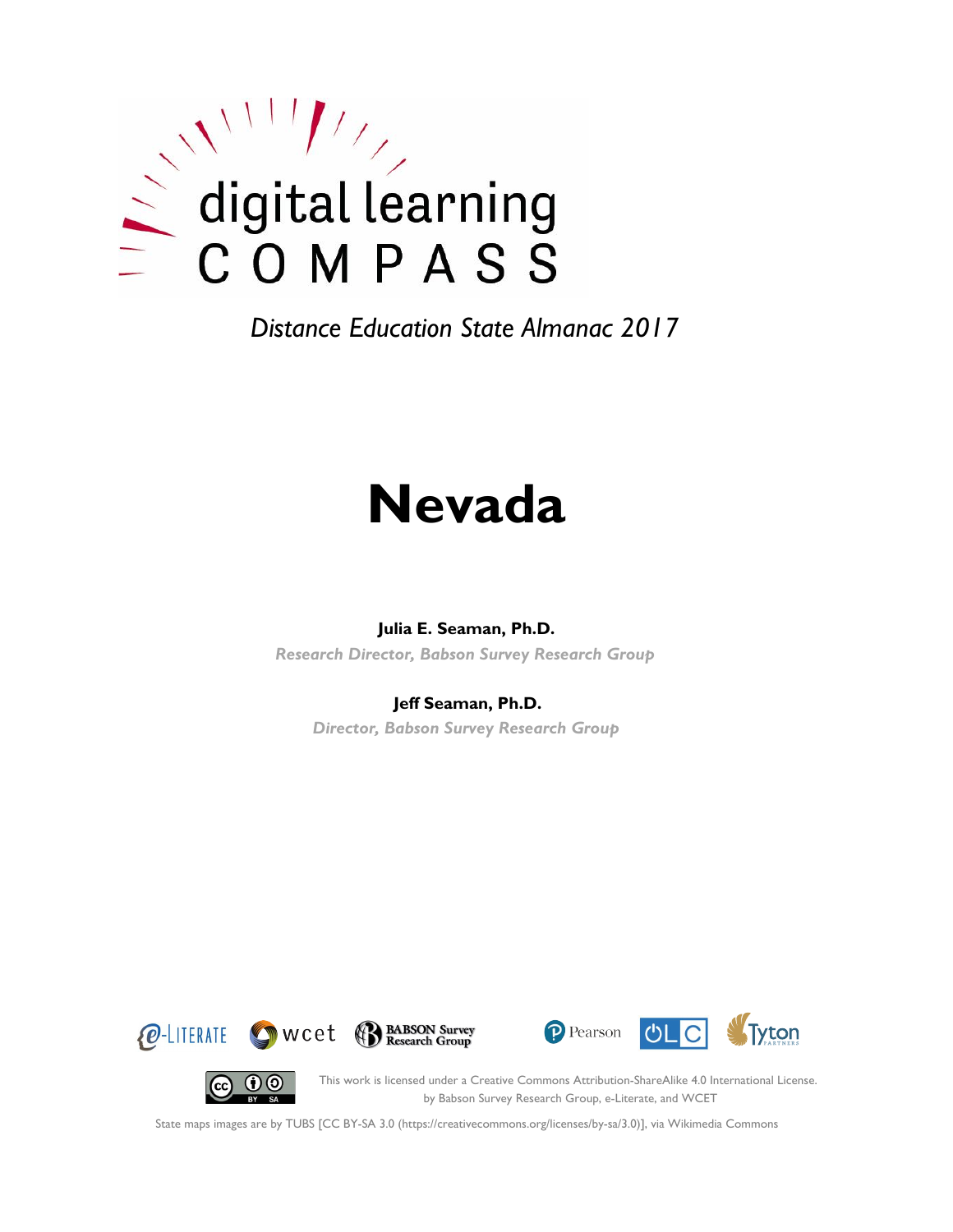

# **Nevada**

#### **Julia E. Seaman, Ph.D.**

*Research Director, Babson Survey Research Group*

#### **Jeff Seaman, Ph.D.**

*Director, Babson Survey Research Group*







(cc)

This work is licensed under a Creative Commons Attribution-ShareAlike 4.0 International License. by Babson Survey Research Group, e-Literate, and WCET

State maps images are by TUBS [CC BY-SA 3.0 (https://creativecommons.org/licenses/by-sa/3.0)], via Wikimedia Commons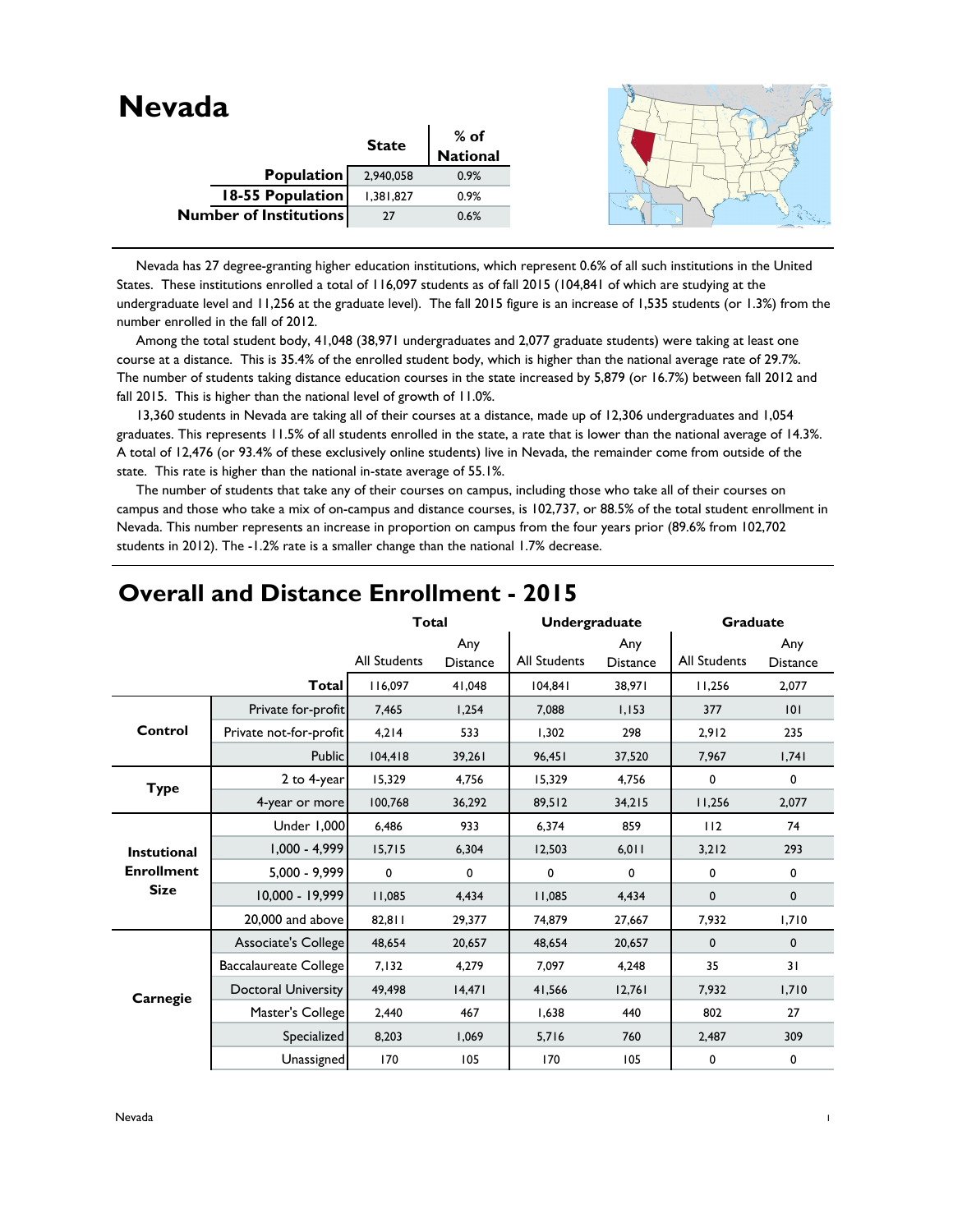| <b>Nevada</b>                 |              |                  |  |
|-------------------------------|--------------|------------------|--|
|                               | <b>State</b> | % of<br>National |  |
|                               |              |                  |  |
| Population                    | 2,940,058    | 0.9%             |  |
| 18-55 Population              | 1,381,827    | 0.9%             |  |
| <b>Number of Institutions</b> | 27           | 0.6%             |  |
|                               |              |                  |  |

 Nevada has 27 degree-granting higher education institutions, which represent 0.6% of all such institutions in the United States. These institutions enrolled a total of 116,097 students as of fall 2015 (104,841 of which are studying at the undergraduate level and 11,256 at the graduate level). The fall 2015 figure is an increase of 1,535 students (or 1.3%) from the number enrolled in the fall of 2012.

 Among the total student body, 41,048 (38,971 undergraduates and 2,077 graduate students) were taking at least one course at a distance. This is 35.4% of the enrolled student body, which is higher than the national average rate of 29.7%. The number of students taking distance education courses in the state increased by 5,879 (or 16.7%) between fall 2012 and fall 2015. This is higher than the national level of growth of 11.0%.

 13,360 students in Nevada are taking all of their courses at a distance, made up of 12,306 undergraduates and 1,054 graduates. This represents 11.5% of all students enrolled in the state, a rate that is lower than the national average of 14.3%. A total of 12,476 (or 93.4% of these exclusively online students) live in Nevada, the remainder come from outside of the state. This rate is higher than the national in-state average of 55.1%.

 The number of students that take any of their courses on campus, including those who take all of their courses on campus and those who take a mix of on-campus and distance courses, is 102,737, or 88.5% of the total student enrollment in Nevada. This number represents an increase in proportion on campus from the four years prior (89.6% from 102,702 students in 2012). The -1.2% rate is a smaller change than the national 1.7% decrease.

|                    |                            | <b>Total</b>        |                        | <b>Undergraduate</b> |                        | <b>Graduate</b>     |                        |
|--------------------|----------------------------|---------------------|------------------------|----------------------|------------------------|---------------------|------------------------|
|                    |                            | <b>All Students</b> | Any<br><b>Distance</b> | <b>All Students</b>  | Any<br><b>Distance</b> | <b>All Students</b> | Any<br><b>Distance</b> |
|                    | <b>Total</b>               | 116.097             | 41,048                 | 104,841              | 38,971                 | 11,256              | 2,077                  |
|                    | Private for-profit         | 7,465               | 1,254                  | 7.088                | 1,153                  | 377                 | 101                    |
| Control            | Private not-for-profit     | 4,214               | 533                    | 1,302                | 298                    | 2,912               | 235                    |
|                    | <b>Public</b>              | 104,418             | 39,261                 | 96,451               | 37,520                 | 7,967               | 1,741                  |
| <b>Type</b>        | 2 to 4-year                | 15,329              | 4,756                  | 15,329               | 4,756                  | 0                   | 0                      |
|                    | 4-year or more             | 100,768             | 36,292                 | 89,512               | 34,215                 | 11,256              | 2,077                  |
|                    | Under 1,000                | 6,486               | 933                    | 6,374                | 859                    | 112                 | 74                     |
| <b>Instutional</b> | $1,000 - 4,999$            | 15,715              | 6,304                  | 12,503               | 6,011                  | 3,212               | 293                    |
| <b>Enrollment</b>  | $5,000 - 9,999$            | 0                   | 0                      | 0                    | 0                      | 0                   | $\mathbf 0$            |
| <b>Size</b>        | 10,000 - 19,999            | 11,085              | 4,434                  | 11,085               | 4,434                  | $\mathbf 0$         | $\mathbf{0}$           |
|                    | 20,000 and above           | 82,811              | 29,377                 | 74,879               | 27,667                 | 7,932               | 1,710                  |
|                    | Associate's College        | 48,654              | 20,657                 | 48,654               | 20,657                 | $\mathbf 0$         | $\mathbf 0$            |
|                    | Baccalaureate College      | 7,132               | 4,279                  | 7,097                | 4,248                  | 35                  | 31                     |
| Carnegie           | <b>Doctoral University</b> | 49,498              | 14,471                 | 41,566               | 12,761                 | 7,932               | 1,710                  |
|                    | Master's College           | 2,440               | 467                    | 1,638                | 440                    | 802                 | 27                     |
|                    | Specialized                | 8,203               | 1,069                  | 5,716                | 760                    | 2,487               | 309                    |
|                    | Unassigned                 | 170                 | 105                    | 170                  | 105                    | 0                   | 0                      |

### **Overall and Distance Enrollment - 2015**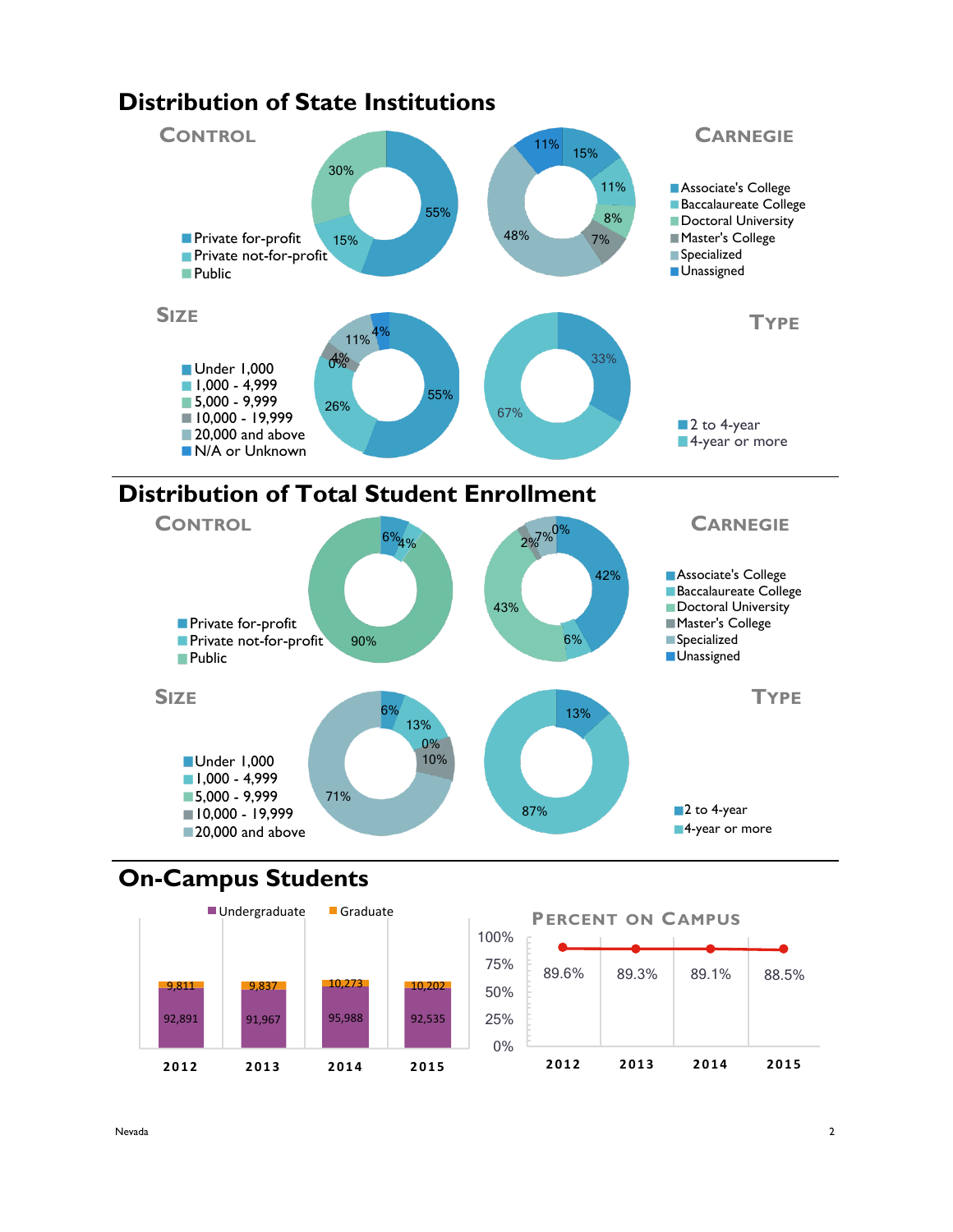

# **Distribution of Total Student Enrollment**



# **On-Campus Students**



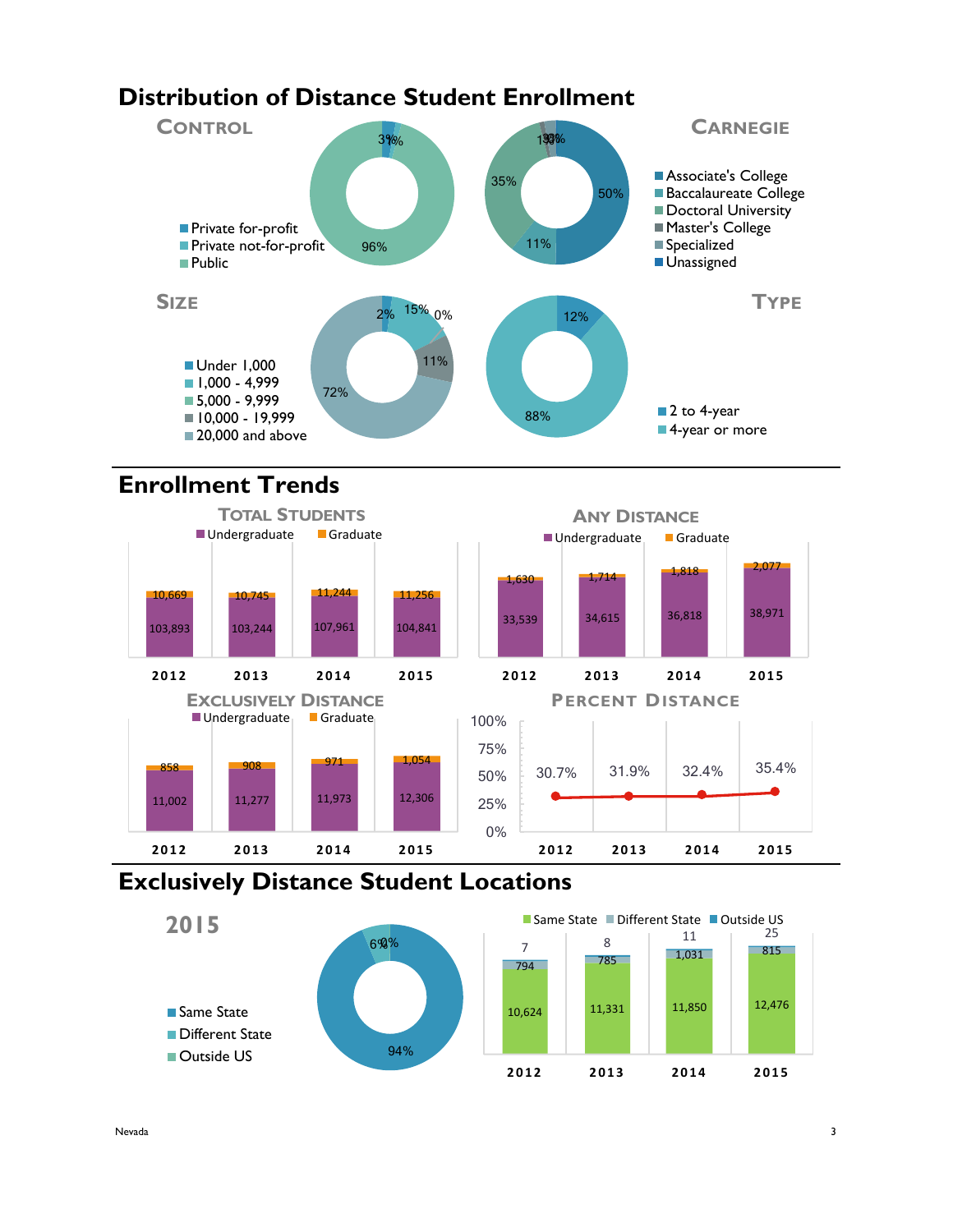# **Distribution of Distance Student Enrollment**



# **Enrollment Trends**



## **Exclusively Distance Student Locations**